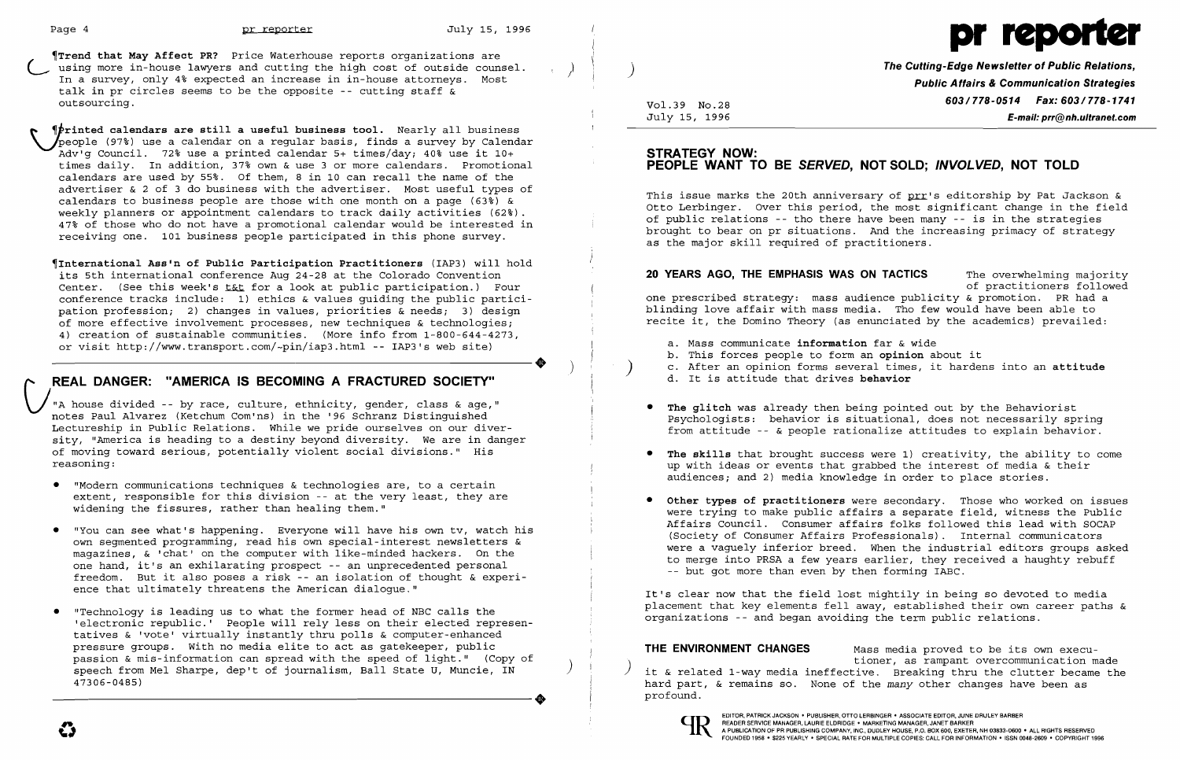

~Trend **that May Affect PR?** Price Waterhouse reports organizations are using more in-house lawyers and cutting the high cost of outside counsel.<br>In a survey, only 4% expected an increase in in-house attorneys. Most talk in pr circles seems to be the opposite -- cutting staff & outsourcing.

 ~;rinted **calendars are still a useful business tool.** Nearly all business ~~eople (97%) use a calendar on a regular basis, finds a survey by Calendar Adv'g Council. 72% use a printed calendar 5+ times/day; 40% use it 10+ times daily. In addition, 37% own & use 3 or more calendars. Promotional calendars are used by 55%. Of them, 8 in 10 can recall the name of the advertiser & 2 of 3 do business with the advertiser. Most useful types of calendars to business people are those with one month on a page (63%) & weekly planners or appointment calendars to track daily activities (62%). 47% of those who do not have a promotional calendar would be interested in receiving one. 101 business people participated in this phone survey.

"A house divided -- by race, culture, ethnicity, gender, class & age," notes Paul Alvarez (Ketchum Com'ns) in the '96 Schranz Distinguished Lectureship in Public Relations. While we pride ourselves on our diversity, "America is heading to a destiny beyond diversity. We are in danger of moving toward serious, potentially violent social divisions." His reasoning:

~International **Ass'n of Public Participation Practitioners** (IAP3) will hold its 5th international conference Aug 24-28 at the Colorado Convention Center. (See this week's for a look at public participation.) Four conference tracks include: 1) ethics & values guiding the public participation profession; 2) changes in values, priorities & needs; 3) design of more effective involvement processes, new techniques & technologies; 4) creation of sustainable communities. (More info from 1-800-644-4273, ----------------------+ ) or visit http://www.transport.com/-pin/iap3.html -- IAP3's web site)

# **REAL DANGER: "AMERICA IS BECOMING A FRACTURED SOCIETY"**

**20 YEARS AGO, THE EMPHASIS WAS ON TACTICS** The overwhelming majority of practitioners followed one prescribed strategy: mass audience publicity & promotion. PR had a blinding love affair with mass media. Tho few would have been able to recite it, the Domino Theory (as enunciated by the academics) prevailed:

- • "Modern communications techniques & technologies are, to a certain extent, responsible for this division -- at the very least, they are widening the fissures, rather than healing them."
- "You can see what's happening. Everyone will have his own tv, watch his own segmented programming, read his own special-interest newsletters & magazines, & 'chat' on the computer with like-minded hackers. On the one hand, it's an exhilarating prospect -- an unprecedented personal freedom. But it also poses a risk -- an isolation of thought & experience that ultimately threatens the American dialogue."
- "Technology is leading us to what the former head of NBC calls the 'electronic republic.' People will rely less on their elected representatives & 'vote' virtually instantly thru polls & computer-enhanced pressure groups. With no media elite to act as gatekeeper, public passion & mis-information can spread with the speed of light." (Copy of passion & mis-information can spread with the speed of light. (Copy of speech from Mel Sharpe, dep't of journalism, Ball State U, Muncie, IN 47306-0485) 47306-0485)

**The Cutting-Edge Newsletter of Public Relations,** ) **Public Affairs & Communication Strategies 603/778-0514 Fax: 603/778-1741**<br>July 15, 1996 July 15, 1996 July 15, 1996 **E-mail: prr@nh.ultranet.com** 

### **STRATEGY NOW: PEOPLE WANT TO BE SERVED, NOT SOLD; INVOLVED, NOT TOLD**

This issue marks the 20th anniversary of prr's editorship by Pat Jackson & Otto Lerbinger. Over this period, the most significant change in the field of public relations -- tho there have been many -- is in the strategies brought to bear on pr situations. And the increasing primacy of strategy as the major skill required of practitioners.

) c. After an opinion forms several times, it hardens into an **attitude** 

Psychologists: behavior is situational, does not necessarily spring from attitude -- & people rationalize attitudes to explain behavior.

up with ideas or events that grabbed the interest of media & their

- a. Mass communicate **information** far & wide
- b. This forces people to form an **opinion** about it
- 
- d. It is attitude that drives **behavior**
- **• The glitch** was already then being pointed out by the Behaviorist
- **• The skills** that brought success were 1) creativity, the ability to come audiences; and 2) media knowledge in order to place stories.
- -- but got more than even by then forming IABC.

**• Other types of practitioners** were secondary. Those who worked on issues were trying to make public affairs a separate field, witness the Public Affairs Council. Consumer affairs folks followed this lead with SOCAP (Society of Consumer Affairs Professionals). Internal communicators were a vaguely inferior breed. When the industrial editors groups asked to merge into PRSA a few years earlier, they received a haughty rebuff

It's clear now that the field lost mightily in being so devoted to media placement that key elements fell away, established their own career paths & organizations -- and began avoiding the term public relations.

**THE ENVIRONMENT CHANGES** Mass media proved to be its own execu-<br>tioner, as rampant overcommunication made it & related 1-way media ineffective. Breaking thru the clutter became the hard part, & remains so. None of the *many* other changes have been as

profound.